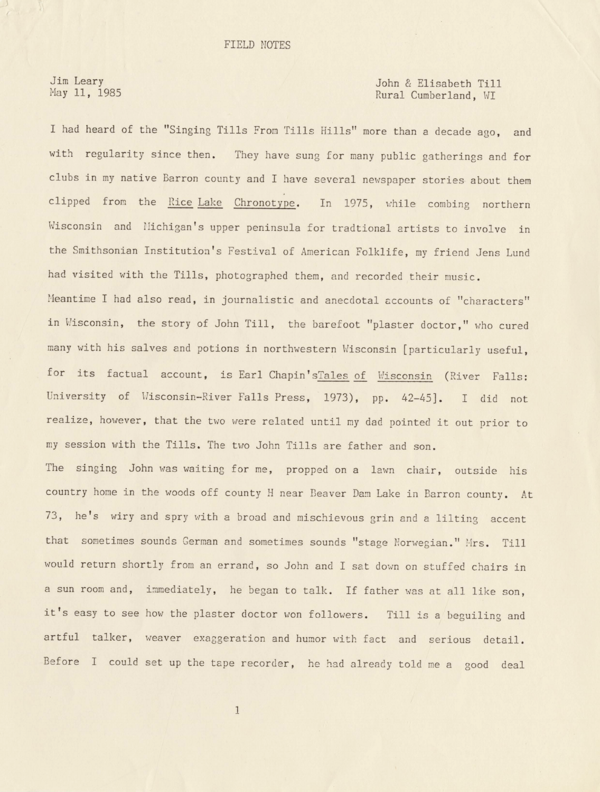Jim Leary May 11, 1985

## John & Elisabeth Till Rural Cumberland, WI

I had heard of the "Singing Tills From Tills Hills" more than a decade ago, and with regularity since then. They have sung for many public gatherings and for clubs in my native Barron county and I have several newspaper stories about them clipped from the Rice Lake Chronotype. In 1975, while combing northern Wisconsin and Nichigan's upper peninsula for tradtional artists to involve in the Smithsonian Institution's Festival of American Folklife, my friend Jens Lund had visited with the Tills, photographed them, and recorded their music .

Meantime I had also read, in journalistic and anecdotal accounts of "characters" in Wisconsin, the story of John Till, the barefoot "plaster doctor," who cured many with his salves and potions in northwestern Wisconsin [particularly useful, for its factual account, is Earl Chapin'sTales of Wisconsin (River Falls: University of Wisconsin-River Falls Press, 1973), pp. 42-45]. I did not realize, however, that the two were related until my dad pointed it out prior to my session with the Tills. The two John Tills are father and son.

The singing John was waiting for me, propped on a lawn chair, outside his country home in the woods off county H near Deaver Dam Lake in Barron county. At 73, he's wiry and spry with a broad and mischievous grin and a lilting accent that sometimes sounds German and sometimes sounds "stage Norwegian." Mrs. Till would return shortly from an errand, so John and I sat down on stuffed chairs in a sun room and, immediately, he began to talk. If father was at all like son, it's easy to see how the plaster doctor won followers. Till is a beguiling and artful talker, weaver exaggeration and humor with fact and serious detail. Before I could set up the tape recorder, he had already told me a good deal

1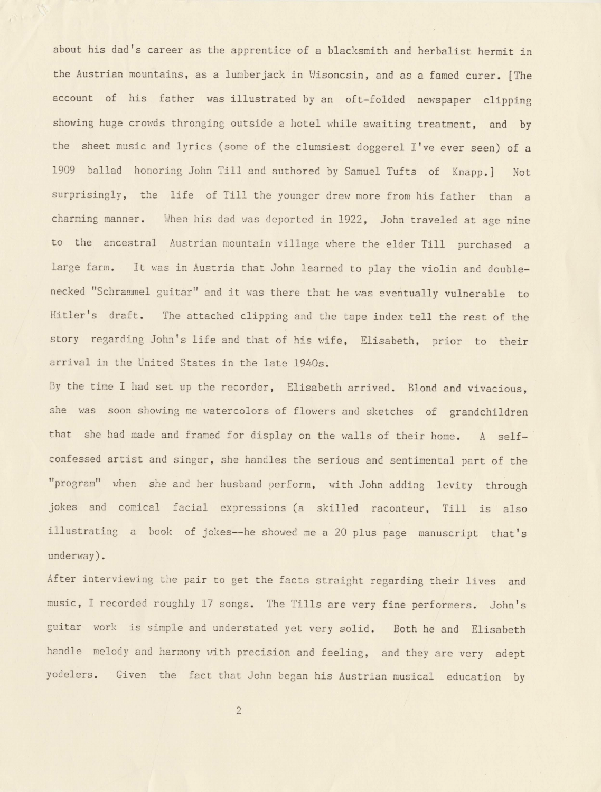about his dad's career as the apprentice of a blacksmith and herbalist hermit in the Austrian mountains, as a lumberjack in Wisoncsin, and as a famed curer. [The account of his father was illustrated by an oft-folded newspaper clipping showing huge crowds thronging outside a hotel while awaiting treatment, and by the sheet music and lyrics (some of the clumsiest doggerel I've ever seen) of a 1909 ballad honoring John Till and authored by Samuel Tufts of Knapp.] Not surprisingly, the life of Till the younger drew more from his father than a charming manner. When his dad was deported in 1922, John traveled at age nine to the ancestral Austrian mountain village where the elder Till purchased a large farm. It was in Austria that John learned to play the violin and doublenecked "Schrammel guitar" and it was there that he was eventually vulnerable to Hitler's draft. The attached clipping and the tape index tell the rest of the story regarding John's life and that of his wife, Elisabeth, prior to their arrival in the United States in the late 1940s.

By the time I had set up the recorder, Elisabeth arrived. Blond and vivacious, she was soon showing me watercolors of flowers and sketches of grandchildren that she had made and framed for display on the walls of their home. A selfconfessed artist and singer, she handles the serious and sentimental part of the "program" when she and her husband perform, with John adding levity through jokes and comical facial expressions (a skilled raconteur, Till is also illustratine a book of jokes--he showed me a 20 plus page manuscript that's underway).

After interviewing the pair to get the facts straight regarding their lives and music, I recorded roughly 17 songs. The Tills are very fine performers. John's guitar work is simple and understated yet very solid. Both he and Elisabeth handle melody and harnony with precision and feeling, and they are very adept yodelers. Given the fact that John began his Austrian musical education by

2